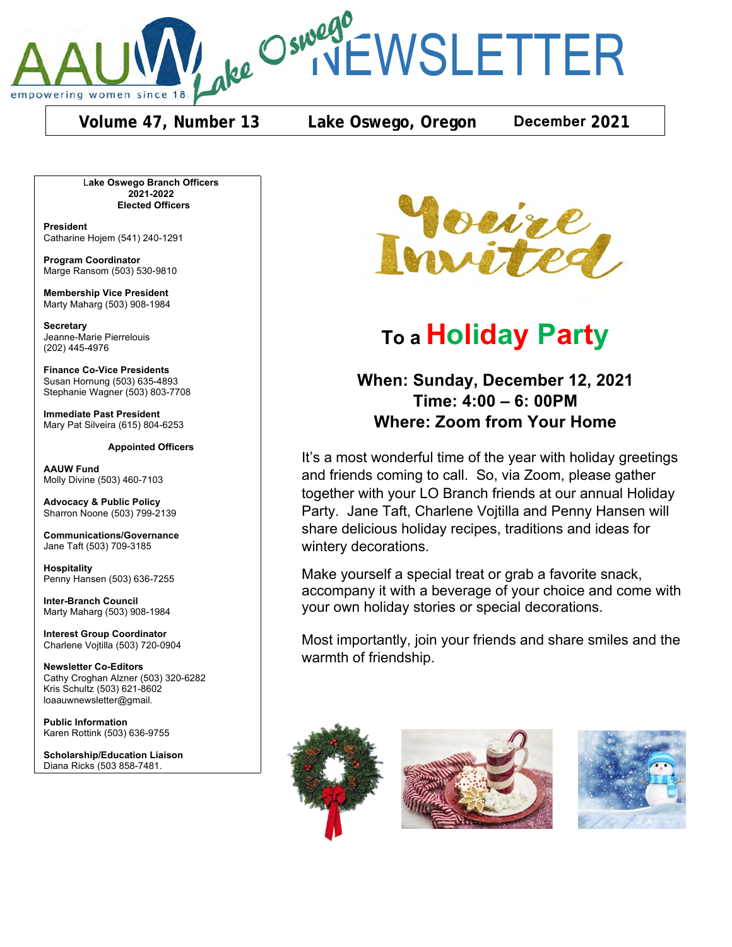

ake Oswego CWSLETTER

**Volume 47, Number 13 Lake Oswego, Oregon December 2021**

L**ake Oswego Branch Officers 2021-2022 Elected Officers**

**President** Catharine Hojem (541) 240-1291

**Program Coordinator** Marge Ransom (503) 530-9810

**Membership Vice President** Marty Maharg (503) 908-1984

**Secretary** Jeanne-Marie Pierrelouis (202) 445-4976

**Finance Co-Vice Presidents** Susan Hornung (503) 635-4893 Stephanie Wagner (503) 803-7708

**Immediate Past President** Mary Pat Silveira (615) 804-6253

**Appointed Officers**

**AAUW Fund** Molly Divine (503) 460-7103

**Advocacy & Public Policy** Sharron Noone (503) 799-2139

**Communications/Governance** Jane Taft (503) 709-3185

**Hospitality** Penny Hansen (503) 636-7255

**Inter-Branch Council** Marty Maharg (503) 908-1984

**Interest Group Coordinator** Charlene Vojtilla (503) 720-0904

**Newsletter Co-Editors** Cathy Croghan Alzner (503) 320-6282 Kris Schultz (503) 621-8602 loaauwnewsletter@gmail.

**Public Information** Karen Rottink (503) 636-9755

**Scholarship/Education Liaison**  Diana Ricks (503 858-7481.



# **To a Holiday Party**

# **When: Sunday, December 12, 2021 Time: 4:00 – 6: 00PM Where: Zoom from Your Home**

It's a most wonderful time of the year with holiday greetings and friends coming to call. So, via Zoom, please gather together with your LO Branch friends at our annual Holiday Party. Jane Taft, Charlene Vojtilla and Penny Hansen will share delicious holiday recipes, traditions and ideas for wintery decorations.

Make yourself a special treat or grab a favorite snack, accompany it with a beverage of your choice and come with your own holiday stories or special decorations.

Most importantly, join your friends and share smiles and the warmth of friendship.





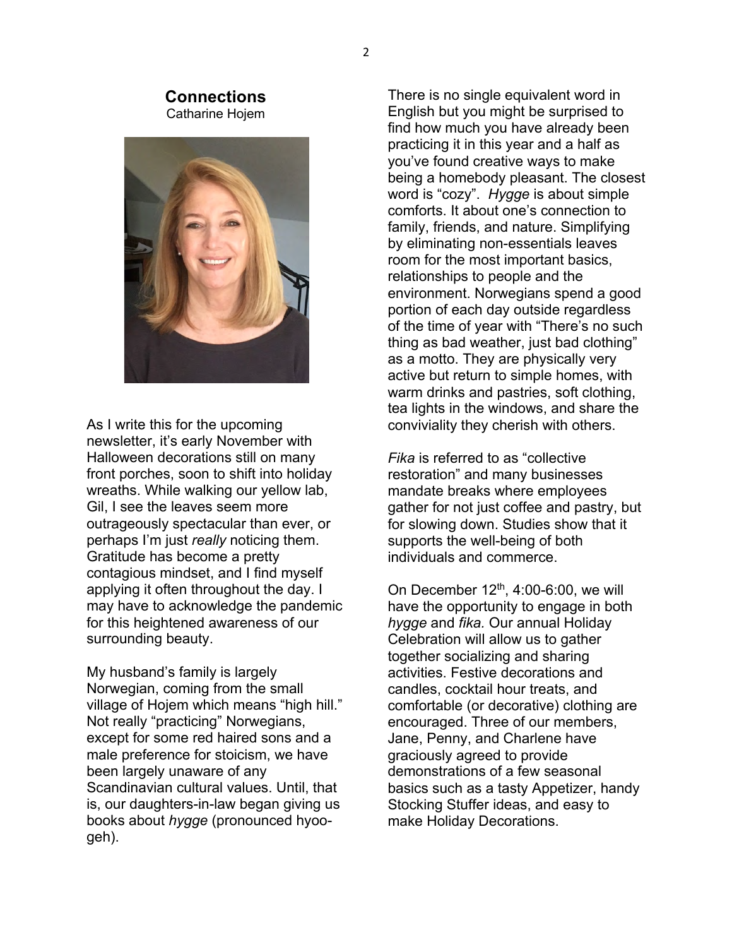#### **Connections** Catharine Hojem



As I write this for the upcoming newsletter, it's early November with Halloween decorations still on many front porches, soon to shift into holiday wreaths. While walking our yellow lab, Gil, I see the leaves seem more outrageously spectacular than ever, or perhaps I'm just *really* noticing them. Gratitude has become a pretty contagious mindset, and I find myself applying it often throughout the day. I may have to acknowledge the pandemic for this heightened awareness of our surrounding beauty.

My husband's family is largely Norwegian, coming from the small village of Hojem which means "high hill." Not really "practicing" Norwegians, except for some red haired sons and a male preference for stoicism, we have been largely unaware of any Scandinavian cultural values. Until, that is, our daughters-in-law began giving us books about *hygge* (pronounced hyoogeh).

There is no single equivalent word in English but you might be surprised to find how much you have already been practicing it in this year and a half as you've found creative ways to make being a homebody pleasant. The closest word is "cozy". *Hygge* is about simple comforts. It about one's connection to family, friends, and nature. Simplifying by eliminating non-essentials leaves room for the most important basics, relationships to people and the environment. Norwegians spend a good portion of each day outside regardless of the time of year with "There's no such thing as bad weather, just bad clothing" as a motto. They are physically very active but return to simple homes, with warm drinks and pastries, soft clothing, tea lights in the windows, and share the conviviality they cherish with others.

*Fika* is referred to as "collective restoration" and many businesses mandate breaks where employees gather for not just coffee and pastry, but for slowing down. Studies show that it supports the well-being of both individuals and commerce.

On December  $12<sup>th</sup>$ , 4:00-6:00, we will have the opportunity to engage in both *hygge* and *fika.* Our annual Holiday Celebration will allow us to gather together socializing and sharing activities. Festive decorations and candles, cocktail hour treats, and comfortable (or decorative) clothing are encouraged. Three of our members, Jane, Penny, and Charlene have graciously agreed to provide demonstrations of a few seasonal basics such as a tasty Appetizer, handy Stocking Stuffer ideas, and easy to make Holiday Decorations.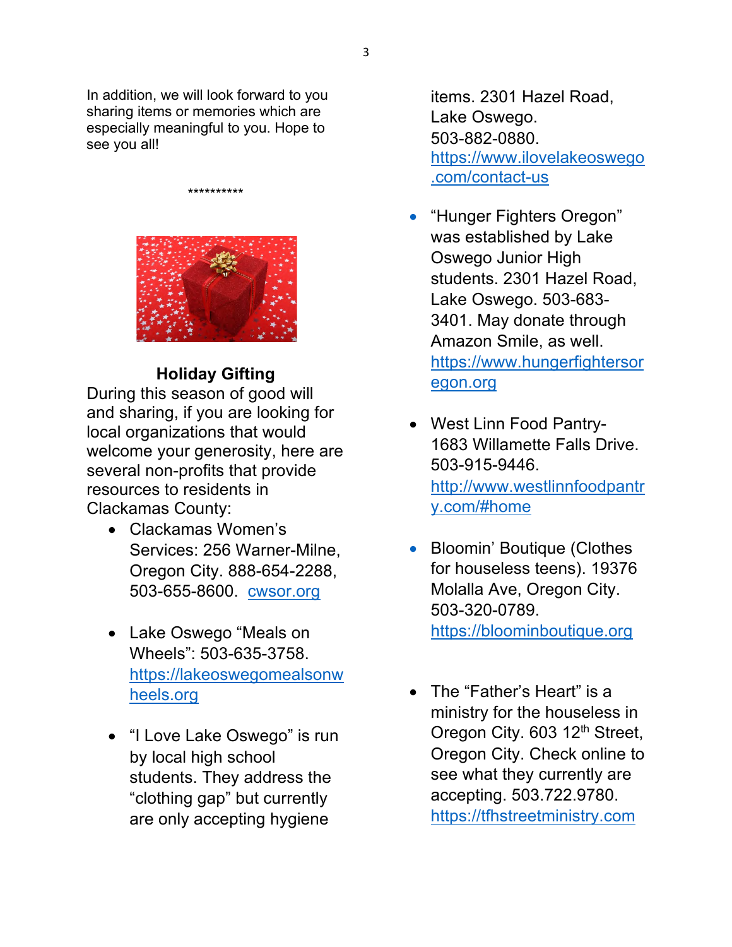In addition, we will look forward to you sharing items or memories which are especially meaningful to you. Hope to see you all!

\*\*\*\*\*\*\*\*\*\*



# **Holiday Gifting**

During this season of good will and sharing, if you are looking for local organizations that would welcome your generosity, here are several non-profits that provide resources to residents in Clackamas County:

- Clackamas Women's Services: 256 Warner-Milne, Oregon City. 888-654-2288, 503-655-8600. cwsor.org
- Lake Oswego "Meals on Wheels": 503-635-3758. https://lakeoswegomealsonw heels.org
- "I Love Lake Oswego" is run by local high school students. They address the "clothing gap" but currently are only accepting hygiene

items. 2301 Hazel Road, Lake Oswego. 503-882-0880. https://www.ilovelakeoswego .com/contact-us

- "Hunger Fighters Oregon" was established by Lake Oswego Junior High students. 2301 Hazel Road, Lake Oswego. 503-683- 3401. May donate through Amazon Smile, as well. https://www.hungerfightersor egon.org
- West Linn Food Pantry-1683 Willamette Falls Drive. 503-915-9446. http://www.westlinnfoodpantr y.com/#home
- Bloomin' Boutique (Clothes for houseless teens). 19376 Molalla Ave, Oregon City. 503-320-0789. https://bloominboutique.org
- The "Father's Heart" is a ministry for the houseless in Oregon City. 603 12<sup>th</sup> Street, Oregon City. Check online to see what they currently are accepting. 503.722.9780. https://tfhstreetministry.com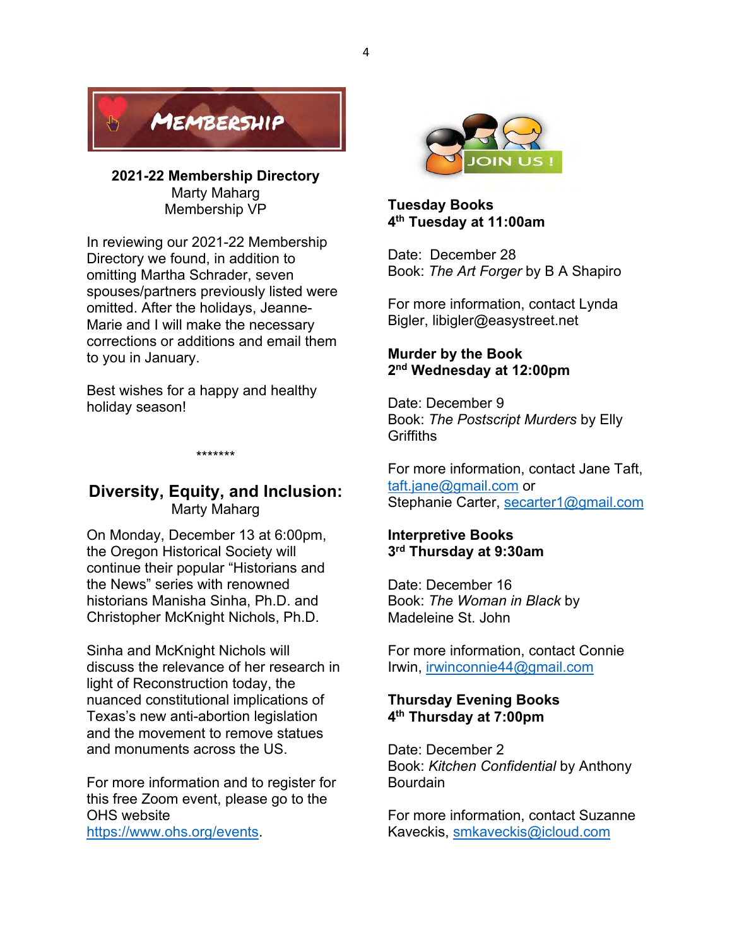

**2021-22 Membership Directory**  Marty Maharg Membership VP

In reviewing our 2021-22 Membership Directory we found, in addition to omitting Martha Schrader, seven spouses/partners previously listed were omitted. After the holidays, Jeanne-Marie and I will make the necessary corrections or additions and email them to you in January.

Best wishes for a happy and healthy holiday season!

## **Diversity, Equity, and Inclusion:** Marty Maharg

\*\*\*\*\*\*\*

On Monday, December 13 at 6:00pm, the Oregon Historical Society will continue their popular "Historians and the News" series with renowned historians Manisha Sinha, Ph.D. and Christopher McKnight Nichols, Ph.D.

Sinha and McKnight Nichols will discuss the relevance of her research in light of Reconstruction today, the nuanced constitutional implications of Texas's new anti-abortion legislation and the movement to remove statues and monuments across the US.

For more information and to register for this free Zoom event, please go to the OHS website https://www.ohs.org/events.



**Tuesday Books 4th Tuesday at 11:00am** 

Date: December 28 Book: *The Art Forger* by B A Shapiro

For more information, contact Lynda Bigler, libigler@easystreet.net

#### **Murder by the Book 2nd Wednesday at 12:00pm**

Date: December 9 Book: *The Postscript Murders* by Elly **Griffiths** 

For more information, contact Jane Taft, taft.jane@gmail.com or Stephanie Carter, secarter1@gmail.com

#### **Interpretive Books 3rd Thursday at 9:30am**

Date: December 16 Book: *The Woman in Black* by Madeleine St. John

For more information, contact Connie Irwin, irwinconnie44@gmail.com

#### **Thursday Evening Books 4th Thursday at 7:00pm**

Date: December 2 Book: *Kitchen Confidential* by Anthony **Bourdain** 

For more information, contact Suzanne Kaveckis, smkaveckis@icloud.com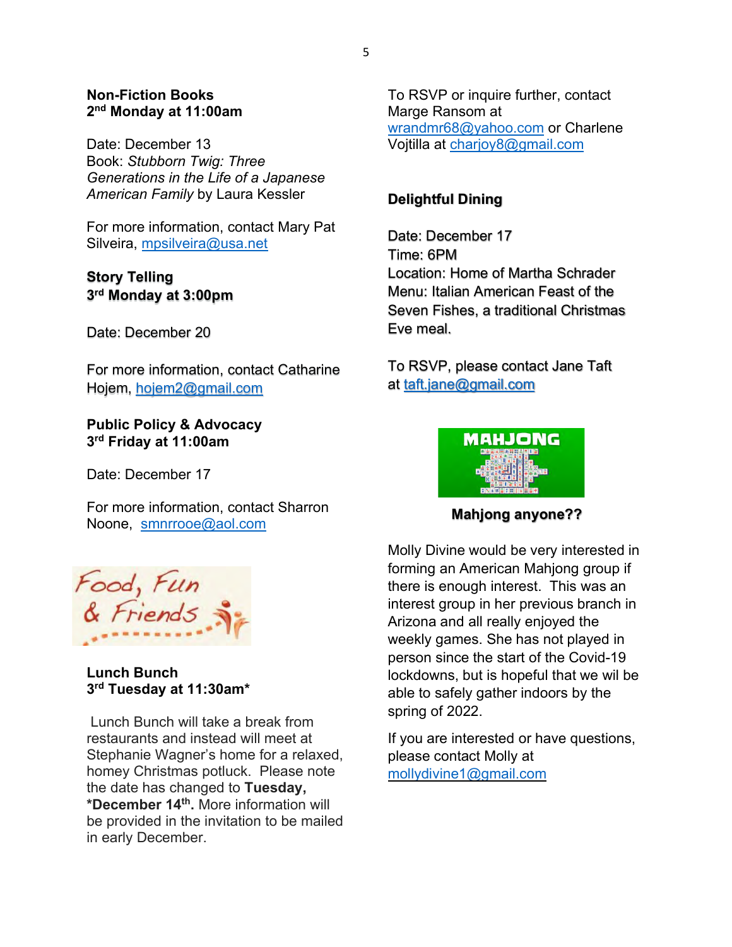#### **Non-Fiction Books 2nd Monday at 11:00am**

Date: December 13 Book: *Stubborn Twig: Three Generations in the Life of a Japanese American Family* by Laura Kessler

For more information, contact Mary Pat Silveira, mpsilveira@usa.net

### **Story Telling 3rd Monday at 3:00pm**

Date: December 20

For more information, contact Catharine Hojem, hojem2@gmail.com

**Public Policy & Advocacy 3rd Friday at 11:00am** 

Date: December 17

For more information, contact Sharron Noone, smnrrooe@aol.com



#### **Lunch Bunch 3rd Tuesday at 11:30am\***

 Lunch Bunch will take a break from restaurants and instead will meet at Stephanie Wagner's home for a relaxed, homey Christmas potluck. Please note the date has changed to **Tuesday, \*December 14th.** More information will be provided in the invitation to be mailed in early December.

To RSVP or inquire further, contact Marge Ransom at wrandmr68@yahoo.com or Charlene Vojtilla at charjoy8@gmail.com

# **Delightful Dining**

Date: December 17 Time: 6PM Location: Home of Martha Schrader Menu: Italian American Feast of the Seven Fishes, a traditional Christmas Eve meal.

To RSVP, please contact Jane Taft at taft.jane@gmail.com



**Mahjong anyone??**

Molly Divine would be very interested in forming an American Mahjong group if there is enough interest. This was an interest group in her previous branch in Arizona and all really enjoyed the weekly games. She has not played in person since the start of the Covid-19 lockdowns, but is hopeful that we wil be able to safely gather indoors by the spring of 2022.

If you are interested or have questions, please contact Molly at mollydivine1@gmail.com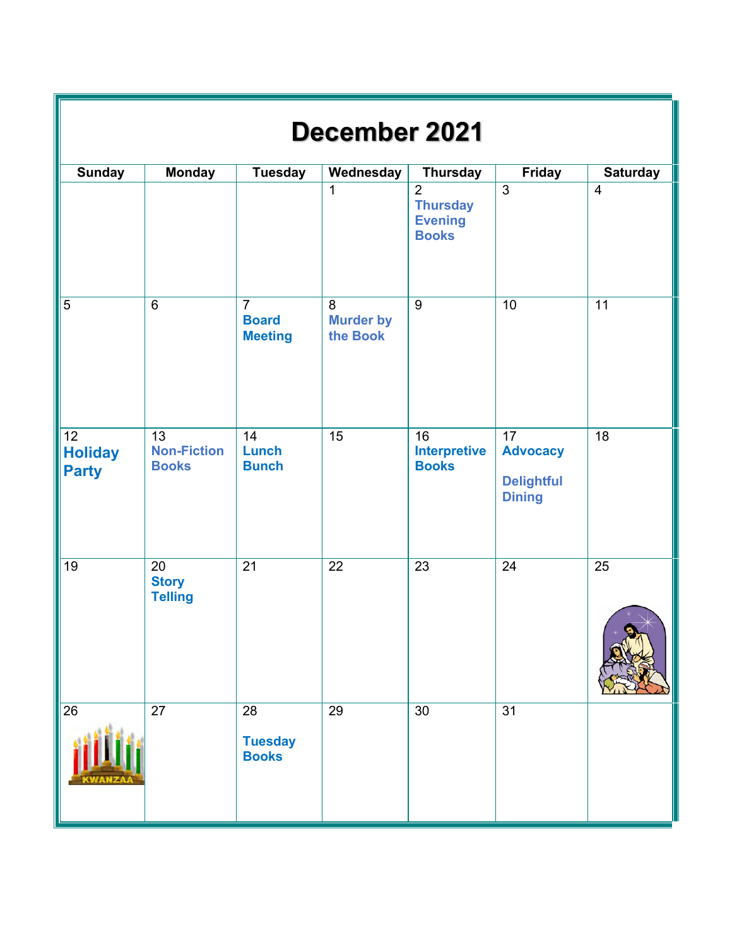| <b>December 2021</b>                              |                                          |                                                  |                                   |                                                                     |                                                                          |                         |  |  |  |  |  |
|---------------------------------------------------|------------------------------------------|--------------------------------------------------|-----------------------------------|---------------------------------------------------------------------|--------------------------------------------------------------------------|-------------------------|--|--|--|--|--|
| <b>Sunday</b>                                     | <b>Monday</b>                            | <b>Tuesday</b>                                   | Wednesday                         | <b>Thursday</b>                                                     | Friday                                                                   | <b>Saturday</b>         |  |  |  |  |  |
|                                                   |                                          |                                                  | $\mathbf{1}$                      | $\overline{2}$<br><b>Thursday</b><br><b>Evening</b><br><b>Books</b> | $\mathfrak{Z}$                                                           | $\overline{\mathbf{4}}$ |  |  |  |  |  |
| $\overline{5}$                                    | $\overline{6}$                           | $\overline{7}$<br><b>Board</b><br><b>Meeting</b> | 8<br><b>Murder by</b><br>the Book | $\overline{9}$                                                      | 10                                                                       | $\overline{11}$         |  |  |  |  |  |
| $\overline{12}$<br><b>Holiday</b><br><b>Party</b> | 13<br><b>Non-Fiction</b><br><b>Books</b> | 14<br><b>Lunch</b><br><b>Bunch</b>               | $\overline{15}$                   | 16<br><b>Interpretive</b><br><b>Books</b>                           | $\overline{17}$<br><b>Advocacy</b><br><b>Delightful</b><br><b>Dining</b> | $\overline{18}$         |  |  |  |  |  |
| 19                                                | 20<br><b>Story</b><br><b>Telling</b>     | $\overline{21}$                                  | 22                                | 23                                                                  | 24                                                                       | $\overline{25}$         |  |  |  |  |  |
| $\overline{26}$                                   | $\overline{27}$                          | 28<br><b>Tuesday</b><br><b>Books</b>             | 29                                | 30                                                                  | $\overline{31}$                                                          |                         |  |  |  |  |  |